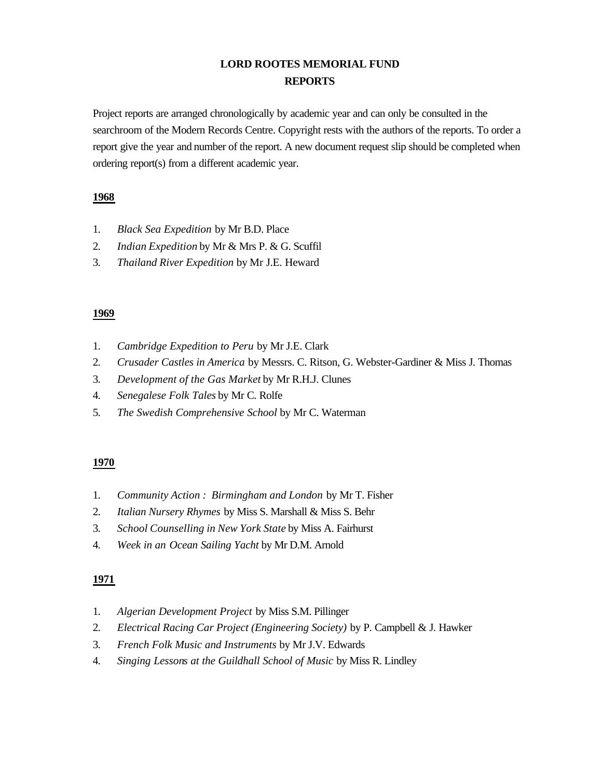# **LORD ROOTES MEMORIAL FUND REPORTS**

Project reports are arranged chronologically by academic year and can only be consulted in the searchroom of the Modern Records Centre. Copyright rests with the authors of the reports. To order a report give the year and number of the report. A new document request slip should be completed when ordering report(s) from a different academic year.

# **1968**

- 1. *Black Sea Expedition* by Mr B.D. Place
- 2. *Indian Expedition* by Mr & Mrs P. & G. Scuffil
- 3. *Thailand River Expedition* by Mr J.E. Heward

# **1969**

- 1. *Cambridge Expedition to Peru* by Mr J.E. Clark
- 2. *Crusader Castles in America* by Messrs. C. Ritson, G. Webster-Gardiner & Miss J. Thomas
- 3. *Development of the Gas Market* by Mr R.H.J. Clunes
- 4. *Senegalese Folk Tales* by Mr C. Rolfe
- 5. *The Swedish Comprehensive School* by Mr C. Waterman

# **1970**

- 1. *Community Action : Birmingham and London* by Mr T. Fisher
- 2. *Italian Nursery Rhymes* by Miss S. Marshall & Miss S. Behr
- 3. *School Counselling in New York State* by Miss A. Fairhurst
- 4. *Week in an Ocean Sailing Yacht* by Mr D.M. Arnold

- 1. *Algerian Development Project* by Miss S.M. Pillinger
- 2. *Electrical Racing Car Project (Engineering Society)* by P. Campbell & J. Hawker
- 3. *French Folk Music and Instruments* by Mr J.V. Edwards
- 4. *Singing Lessons at the Guildhall School of Music* by Miss R. Lindley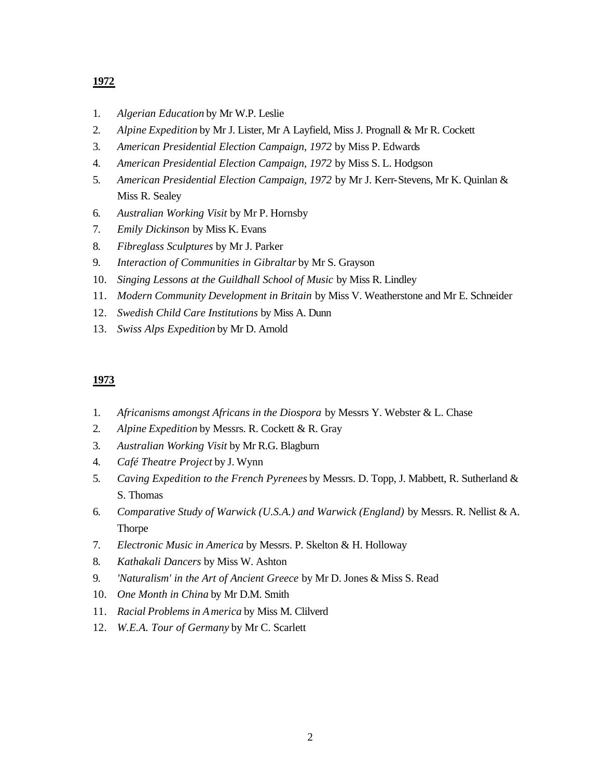- 1. *Algerian Education* by Mr W.P. Leslie
- 2. *Alpine Expedition* by Mr J. Lister, Mr A Layfield, Miss J. Prognall & Mr R. Cockett
- 3. *American Presidential Election Campaign, 1972* by Miss P. Edwards
- 4. *American Presidential Election Campaign, 1972* by Miss S. L. Hodgson
- 5. *American Presidential Election Campaign, 1972* by Mr J. Kerr-Stevens, Mr K. Quinlan & Miss R. Sealey
- 6. *Australian Working Visit* by Mr P. Hornsby
- 7. *Emily Dickinson* by Miss K. Evans
- 8. *Fibreglass Sculptures* by Mr J. Parker
- 9. *Interaction of Communities in Gibraltar* by Mr S. Grayson
- 10. *Singing Lessons at the Guildhall School of Music* by Miss R. Lindley
- 11. *Modern Community Development in Britain* by Miss V. Weatherstone and Mr E. Schneider
- 12. *Swedish Child Care Institutions* by Miss A. Dunn
- 13. *Swiss Alps Expedition* by Mr D. Arnold

- 1. *Africanisms amongst Africans in the Diospora* by Messrs Y. Webster & L. Chase
- 2. *Alpine Expedition* by Messrs. R. Cockett & R. Gray
- 3. *Australian Working Visit* by Mr R.G. Blagburn
- 4. *Café Theatre Project* by J. Wynn
- 5. *Caving Expedition to the French Pyrenees* by Messrs. D. Topp, J. Mabbett, R. Sutherland & S. Thomas
- 6. *Comparative Study of Warwick (U.S.A.) and Warwick (England)* by Messrs. R. Nellist & A. Thorpe
- 7. *Electronic Music in America* by Messrs. P. Skelton & H. Holloway
- 8. *Kathakali Dancers* by Miss W. Ashton
- 9. *'Naturalism' in the Art of Ancient Greece* by Mr D. Jones & Miss S. Read
- 10. *One Month in China* by Mr D.M. Smith
- 11. *Racial Problems in America* by Miss M. Clilverd
- 12. *W.E.A. Tour of Germany* by Mr C. Scarlett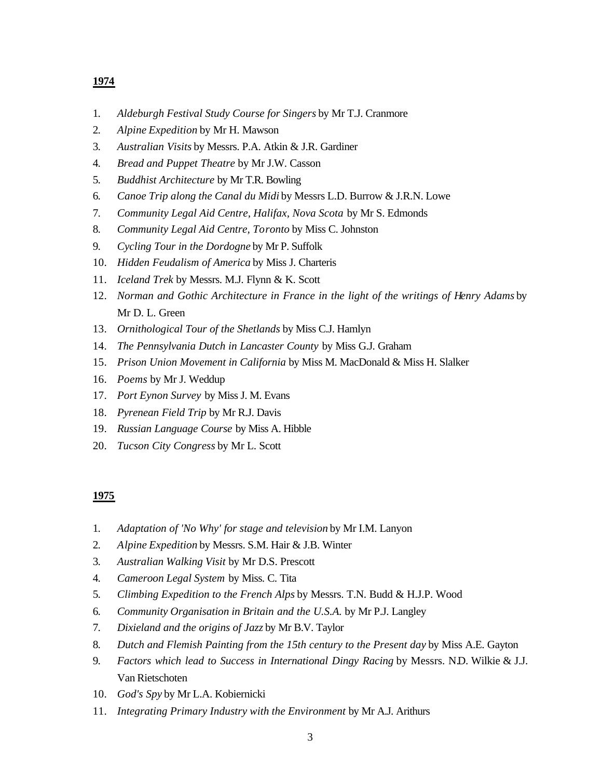- 1. *Aldeburgh Festival Study Course for Singers* by Mr T.J. Cranmore
- 2. *Alpine Expedition* by Mr H. Mawson
- 3. *Australian Visits* by Messrs. P.A. Atkin & J.R. Gardiner
- 4. *Bread and Puppet Theatre* by Mr J.W. Casson
- 5. *Buddhist Architecture* by Mr T.R. Bowling
- 6. *Canoe Trip along the Canal du Midi* by Messrs L.D. Burrow & J.R.N. Lowe
- 7. *Community Legal Aid Centre, Halifax, Nova Scota* by Mr S. Edmonds
- 8. *Community Legal Aid Centre, Toronto* by Miss C. Johnston
- 9. *Cycling Tour in the Dordogne* by Mr P. Suffolk
- 10. *Hidden Feudalism of America* by Miss J. Charteris
- 11. *Iceland Trek* by Messrs. M.J. Flynn & K. Scott
- 12. *Norman and Gothic Architecture in France in the light of the writings of Henry Adams* by Mr D. L. Green
- 13. *Ornithological Tour of the Shetlands* by Miss C.J. Hamlyn
- 14. *The Pennsylvania Dutch in Lancaster County* by Miss G.J. Graham
- 15. *Prison Union Movement in California* by Miss M. MacDonald & Miss H. Slalker
- 16. *Poems* by Mr J. Weddup
- 17. *Port Eynon Survey* by Miss J. M. Evans
- 18. *Pyrenean Field Trip* by Mr R.J. Davis
- 19. *Russian Language Course* by Miss A. Hibble
- 20. *Tucson City Congress* by Mr L. Scott

- 1. *Adaptation of 'No Why' for stage and television* by Mr I.M. Lanyon
- 2. *Alpine Expedition* by Messrs. S.M. Hair & J.B. Winter
- 3. *Australian Walking Visit* by Mr D.S. Prescott
- 4. *Cameroon Legal System* by Miss. C. Tita
- 5. *Climbing Expedition to the French Alps* by Messrs. T.N. Budd & H.J.P. Wood
- 6. *Community Organisation in Britain and the U.S.A.* by Mr P.J. Langley
- 7. *Dixieland and the origins of Jazz* by Mr B.V. Taylor
- 8. *Dutch and Flemish Painting from the 15th century to the Present day* by Miss A.E. Gayton
- 9. *Factors which lead to Success in International Dingy Racing* by Messrs. N.D. Wilkie & J.J. Van Rietschoten
- 10. *God's Spy* by Mr L.A. Kobiernicki
- 11. *Integrating Primary Industry with the Environment* by Mr A.J. Arithurs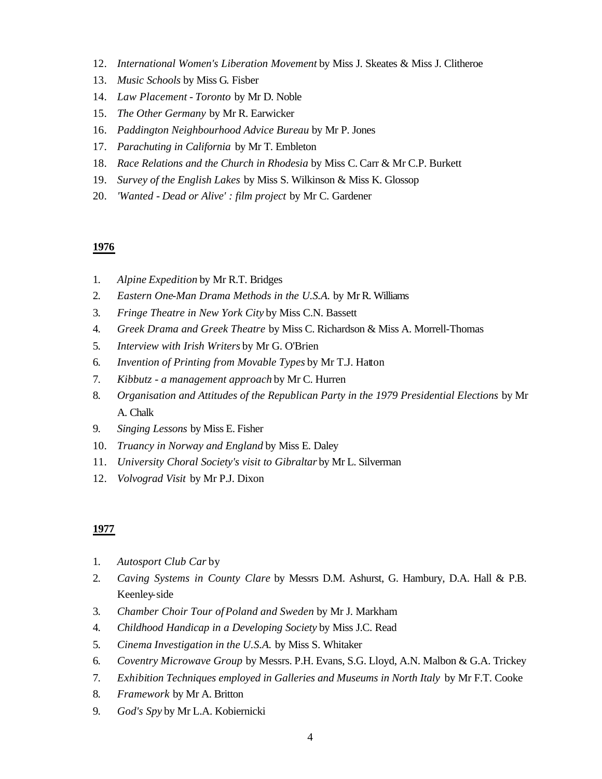- 12. *International Women's Liberation Movement* by Miss J. Skeates & Miss J. Clitheroe
- 13. *Music Schools* by Miss G. Fisber
- 14. *Law Placement Toronto* by Mr D. Noble
- 15. *The Other Germany* by Mr R. Earwicker
- 16. *Paddington Neighbourhood Advice Bureau* by Mr P. Jones
- 17. *Parachuting in California* by Mr T. Embleton
- 18. *Race Relations and the Church in Rhodesia* by Miss C. Carr & Mr C.P. Burkett
- 19. *Survey of the English Lakes* by Miss S. Wilkinson & Miss K. Glossop
- 20. *'Wanted Dead or Alive' : film project* by Mr C. Gardener

- 1. *Alpine Expedition* by Mr R.T. Bridges
- 2. *Eastern One-Man Drama Methods in the U.S.A.* by Mr R. Williams
- 3. *Fringe Theatre in New York City* by Miss C.N. Bassett
- 4. *Greek Drama and Greek Theatre* by Miss C. Richardson & Miss A. Morrell-Thomas
- 5. *Interview with Irish Writers* by Mr G. O'Brien
- 6. *Invention of Printing from Movable Types* by Mr T.J. Hatton
- 7. *Kibbutz a management approach* by Mr C. Hurren
- 8. *Organisation and Attitudes of the Republican Party in the 1979 Presidential Elections* by Mr A. Chalk
- 9. *Singing Lessons* by Miss E. Fisher
- 10. *Truancy in Norway and England* by Miss E. Daley
- 11. *University Choral Society's visit to Gibraltar* by Mr L. Silverman
- 12. *Volvograd Visit* by Mr P.J. Dixon

- 1. *Autosport Club Car* by
- 2. *Caving Systems in County Clare* by Messrs D.M. Ashurst, G. Hambury, D.A. Hall & P.B. Keenley-side
- 3. *Chamber Choir Tour of Poland and Sweden* by Mr J. Markham
- 4. *Childhood Handicap in a Developing Society* by Miss J.C. Read
- 5. *Cinema Investigation in the U.S.A.* by Miss S. Whitaker
- 6. *Coventry Microwave Group* by Messrs. P.H. Evans, S.G. Lloyd, A.N. Malbon & G.A. Trickey
- 7. *Exhibition Techniques employed in Galleries and Museums in North Italy* by Mr F.T. Cooke
- 8. *Framework* by Mr A. Britton
- 9. *God's Spy* by Mr L.A. Kobiernicki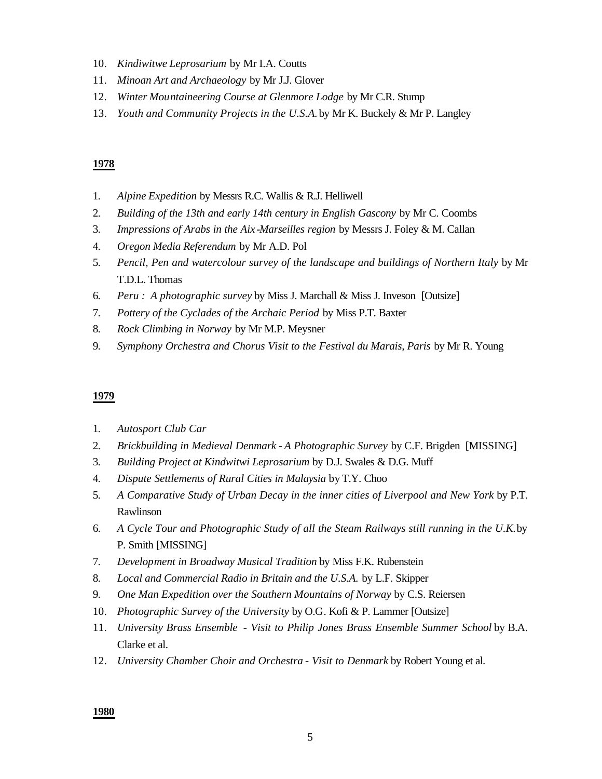- 10. *Kindiwitwe Leprosarium* by Mr I.A. Coutts
- 11. *Minoan Art and Archaeology* by Mr J.J. Glover
- 12. *Winter Mountaineering Course at Glenmore Lodge* by Mr C.R. Stump
- 13. *Youth and Community Projects in the U.S.A.* by Mr K. Buckely & Mr P. Langley

- 1. *Alpine Expedition* by Messrs R.C. Wallis & R.J. Helliwell
- 2. *Building of the 13th and early 14th century in English Gascony* by Mr C. Coombs
- 3. *Impressions of Arabs in the Aix -Marseilles region* by Messrs J. Foley & M. Callan
- 4. *Oregon Media Referendum* by Mr A.D. Pol
- 5. *Pencil, Pen and watercolour survey of the landscape and buildings of Northern Italy* by Mr T.D.L. Thomas
- 6. *Peru : A photographic survey* by Miss J. Marchall & Miss J. Inveson [Outsize]
- 7. *Pottery of the Cyclades of the Archaic Period* by Miss P.T. Baxter
- 8. *Rock Climbing in Norway* by Mr M.P. Meysner
- 9. *Symphony Orchestra and Chorus Visit to the Festival du Marais, Paris* by Mr R. Young

#### **1979**

- 1. *Autosport Club Car*
- 2. *Brickbuilding in Medieval Denmark A Photographic Survey* by C.F. Brigden [MISSING]
- 3. *Building Project at Kindwitwi Leprosarium* by D.J. Swales & D.G. Muff
- 4. *Dispute Settlements of Rural Cities in Malaysia* by T.Y. Choo
- 5. *A Comparative Study of Urban Decay in the inner cities of Liverpool and New York* by P.T. Rawlinson
- 6. *A Cycle Tour and Photographic Study of all the Steam Railways still running in the U.K.* by P. Smith [MISSING]
- 7. *Development in Broadway Musical Tradition* by Miss F.K. Rubenstein
- 8. *Local and Commercial Radio in Britain and the U.S.A.* by L.F. Skipper
- 9. *One Man Expedition over the Southern Mountains of Norway* by C.S. Reiersen
- 10. *Photographic Survey of the University* by O.G. Kofi & P. Lammer [Outsize]
- 11. *University Brass Ensemble Visit to Philip Jones Brass Ensemble Summer School* by B.A. Clarke et al.
- 12. *University Chamber Choir and Orchestra Visit to Denmark* by Robert Young et al.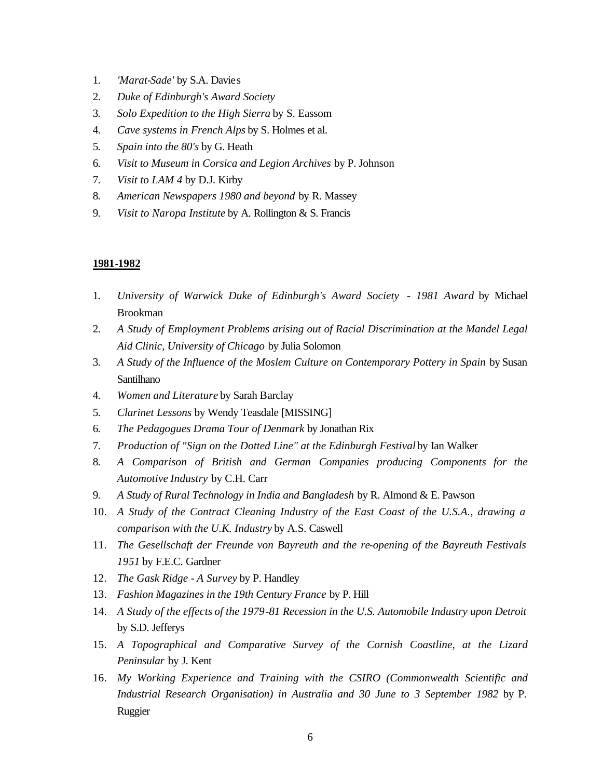- 1. *'Marat-Sade'* by S.A. Davies
- 2. *Duke of Edinburgh's Award Society*
- 3. *Solo Expedition to the High Sierra* by S. Eassom
- 4. *Cave systems in French Alps* by S. Holmes et al.
- 5. *Spain into the 80's* by G. Heath
- 6. *Visit to Museum in Corsica and Legion Archives* by P. Johnson
- 7. *Visit to LAM 4* by D.J. Kirby
- 8. *American Newspapers 1980 and beyond* by R. Massey
- 9. *Visit to Naropa Institute* by A. Rollington & S. Francis

- 1. *University of Warwick Duke of Edinburgh's Award Society 1981 Award* by Michael Brookman
- 2. *A Study of Employment Problems arising out of Racial Discrimination at the Mandel Legal Aid Clinic, University of Chicago* by Julia Solomon
- 3. *A Study of the Influence of the Moslem Culture on Contemporary Pottery in Spain* by Susan Santilhano
- 4. *Women and Literature* by Sarah Barclay
- 5. *Clarinet Lessons* by Wendy Teasdale [MISSING]
- 6. *The Pedagogues Drama Tour of Denmark* by Jonathan Rix
- 7. *Production of "Sign on the Dotted Line" at the Edinburgh Festival* by Ian Walker
- 8. *A Comparison of British and German Companies producing Components for the Automotive Industry* by C.H. Carr
- 9. *A Study of Rural Technology in India and Bangladesh* by R. Almond & E. Pawson
- 10. *A Study of the Contract Cleaning Industry of the East Coast of the U.S.A., drawing a comparison with the U.K. Industry* by A.S. Caswell
- 11. *The Gesellschaft der Freunde von Bayreuth and the re-opening of the Bayreuth Festivals 1951* by F.E.C. Gardner
- 12. *The Gask Ridge A Survey* by P. Handley
- 13. *Fashion Magazines in the 19th Century France* by P. Hill
- 14. *A Study of the effects of the 1979-81 Recession in the U.S. Automobile Industry upon Detroit* by S.D. Jefferys
- 15. *A Topographical and Comparative Survey of the Cornish Coastline, at the Lizard Peninsular* by J. Kent
- 16. *My Working Experience and Training with the CSIRO (Commonwealth Scientific and Industrial Research Organisation) in Australia and 30 June to 3 September 1982* by P. Ruggier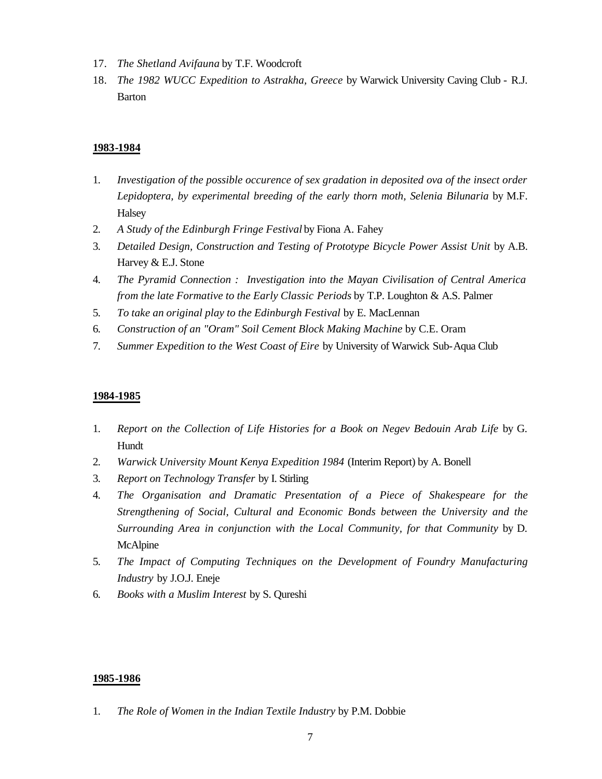- 17. *The Shetland Avifauna* by T.F. Woodcroft
- 18. *The 1982 WUCC Expedition to Astrakha, Greece* by Warwick University Caving Club R.J. Barton

- 1. *Investigation of the possible occurence of sex gradation in deposited ova of the insect order Lepidoptera, by experimental breeding of the early thorn moth, Selenia Bilunaria* by M.F. Halsey
- 2. *A Study of the Edinburgh Fringe Festival* by Fiona A. Fahey
- 3. *Detailed Design, Construction and Testing of Prototype Bicycle Power Assist Unit* by A.B. Harvey & E.J. Stone
- 4. *The Pyramid Connection : Investigation into the Mayan Civilisation of Central America from the late Formative to the Early Classic Periods* by T.P. Loughton & A.S. Palmer
- 5. *To take an original play to the Edinburgh Festival* by E. MacLennan
- 6. *Construction of an "Oram" Soil Cement Block Making Machine* by C.E. Oram
- 7. *Summer Expedition to the West Coast of Eire* by University of Warwick Sub-Aqua Club

#### **1984-1985**

- 1. *Report on the Collection of Life Histories for a Book on Negev Bedouin Arab Life* by G. Hundt
- 2. *Warwick University Mount Kenya Expedition 1984* (Interim Report) by A. Bonell
- 3. *Report on Technology Transfer* by I. Stirling
- 4. *The Organisation and Dramatic Presentation of a Piece of Shakespeare for the Strengthening of Social, Cultural and Economic Bonds between the University and the Surrounding Area in conjunction with the Local Community, for that Community* by D. McAlpine
- 5. *The Impact of Computing Techniques on the Development of Foundry Manufacturing Industry* by J.O.J. Eneje
- 6. *Books with a Muslim Interest* by S. Qureshi

#### **1985-1986**

1. *The Role of Women in the Indian Textile Industry* by P.M. Dobbie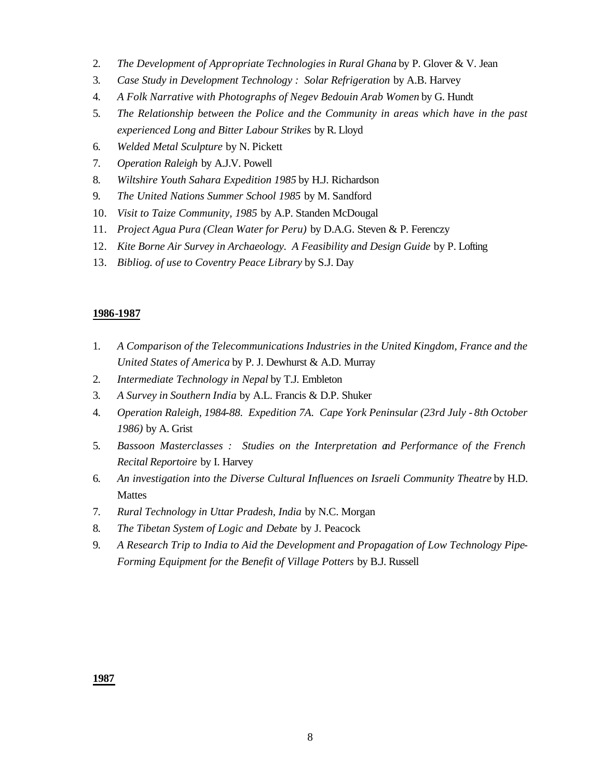- 2. *The Development of Appropriate Technologies in Rural Ghana* by P. Glover & V. Jean
- 3. *Case Study in Development Technology : Solar Refrigeration* by A.B. Harvey
- 4. *A Folk Narrative with Photographs of Negev Bedouin Arab Women* by G. Hundt
- 5. *The Relationship between the Police and the Community in areas which have in the past experienced Long and Bitter Labour Strikes* by R. Lloyd
- 6. *Welded Metal Sculpture* by N. Pickett
- 7. *Operation Raleigh* by A.J.V. Powell
- 8. *Wiltshire Youth Sahara Expedition 1985* by H.J. Richardson
- 9. *The United Nations Summer School 1985* by M. Sandford
- 10. *Visit to Taize Community, 1985* by A.P. Standen McDougal
- 11. *Project Agua Pura (Clean Water for Peru)* by D.A.G. Steven & P. Ferenczy
- 12. *Kite Borne Air Survey in Archaeology. A Feasibility and Design Guide* by P. Lofting
- 13. *Bibliog. of use to Coventry Peace Library* by S.J. Day

- 1. *A Comparison of the Telecommunications Industries in the United Kingdom, France and the United States of America* by P. J. Dewhurst & A.D. Murray
- 2. *Intermediate Technology in Nepal* by T.J. Embleton
- 3. *A Survey in Southern India* by A.L. Francis & D.P. Shuker
- 4. *Operation Raleigh, 1984-88. Expedition 7A. Cape York Peninsular (23rd July 8th October 1986)* by A. Grist
- 5. *Bassoon Masterclasses : Studies on the Interpretation and Performance of the French Recital Reportoire* by I. Harvey
- 6. *An investigation into the Diverse Cultural Influences on Israeli Community Theatre* by H.D. Mattes
- 7. *Rural Technology in Uttar Pradesh, India* by N.C. Morgan
- 8. *The Tibetan System of Logic and Debate* by J. Peacock
- 9. *A Research Trip to India to Aid the Development and Propagation of Low Technology Pipe-Forming Equipment for the Benefit of Village Potters* by B.J. Russell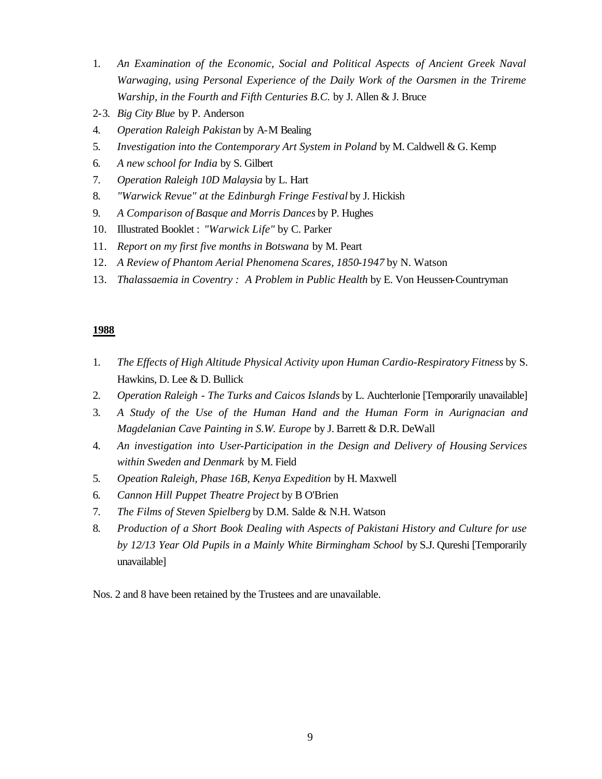- 1. *An Examination of the Economic, Social and Political Aspects of Ancient Greek Naval Warwaging, using Personal Experience of the Daily Work of the Oarsmen in the Trireme Warship, in the Fourth and Fifth Centuries B.C.* by J. Allen & J. Bruce
- 2-3. *Big City Blue* by P. Anderson
- 4. *Operation Raleigh Pakistan* by A-M Bealing
- 5. *Investigation into the Contemporary Art System in Poland* by M. Caldwell & G. Kemp
- 6. *A new school for India* by S. Gilbert
- 7. *Operation Raleigh 10D Malaysia* by L. Hart
- 8. *"Warwick Revue" at the Edinburgh Fringe Festival* by J. Hickish
- 9. *A Comparison of Basque and Morris Dances* by P. Hughes
- 10. Illustrated Booklet : *"Warwick Life"* by C. Parker
- 11. *Report on my first five months in Botswana* by M. Peart
- 12. *A Review of Phantom Aerial Phenomena Scares, 1850-1947* by N. Watson
- 13. *Thalassaemia in Coventry : A Problem in Public Health* by E. Von Heussen-Countryman

- 1. *The Effects of High Altitude Physical Activity upon Human Cardio-Respiratory Fitness* by S. Hawkins, D. Lee & D. Bullick
- 2. *Operation Raleigh* - *The Turks and Caicos Islands* by L. Auchterlonie [Temporarily unavailable]
- 3. *A Study of the Use of the Human Hand and the Human Form in Aurignacian and Magdelanian Cave Painting in S.W. Europe* by J. Barrett & D.R. DeWall
- 4. *An investigation into User-Participation in the Design and Delivery of Housing Services within Sweden and Denmark* by M. Field
- 5. *Opeation Raleigh, Phase 16B, Kenya Expedition* by H. Maxwell
- 6. *Cannon Hill Puppet Theatre Project* by B O'Brien
- 7. *The Films of Steven Spielberg* by D.M. Salde & N.H. Watson
- 8. *Production of a Short Book Dealing with Aspects of Pakistani History and Culture for use by 12/13 Year Old Pupils in a Mainly White Birmingham School* by S.J. Qureshi [Temporarily unavailable]

Nos. 2 and 8 have been retained by the Trustees and are unavailable.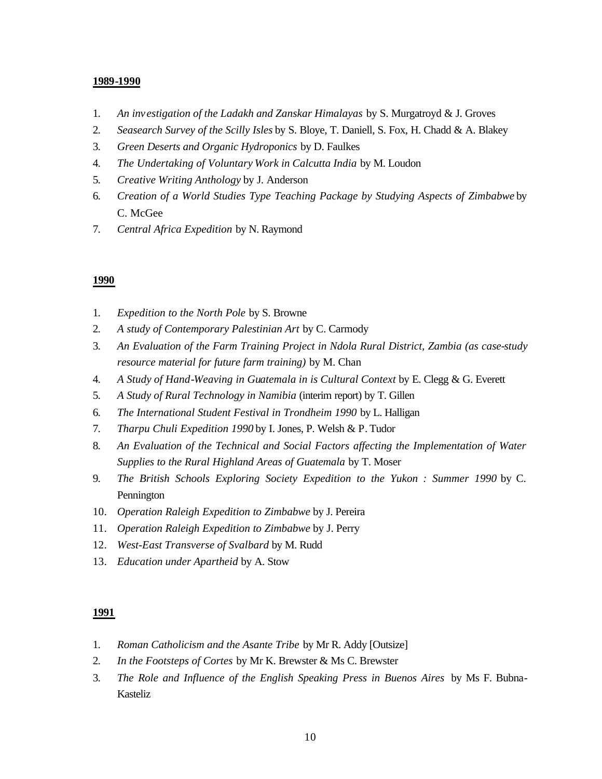- 1. *An inv estigation of the Ladakh and Zanskar Himalayas* by S. Murgatroyd & J. Groves
- 2. *Seasearch Survey of the Scilly Isles* by S. Bloye, T. Daniell, S. Fox, H. Chadd & A. Blakey
- 3. *Green Deserts and Organic Hydroponics* by D. Faulkes
- 4. *The Undertaking of Voluntary Work in Calcutta India* by M. Loudon
- 5. *Creative Writing Anthology* by J. Anderson
- 6. *Creation of a World Studies Type Teaching Package by Studying Aspects of Zimbabwe* by C. McGee
- 7. *Central Africa Expedition* by N. Raymond

#### **1990**

- 1. *Expedition to the North Pole* by S. Browne
- 2. *A study of Contemporary Palestinian Art* by C. Carmody
- 3. *An Evaluation of the Farm Training Project in Ndola Rural District, Zambia (as case-study resource material for future farm training)* by M. Chan
- 4. *A Study of Hand-Weaving in Guatemala in is Cultural Context* by E. Clegg & G. Everett
- 5. *A Study of Rural Technology in Namibia* (interim report) by T. Gillen
- 6. *The International Student Festival in Trondheim 1990* by L. Halligan
- 7. *Tharpu Chuli Expedition 1990* by I. Jones, P. Welsh & P. Tudor
- 8. *An Evaluation of the Technical and Social Factors affecting the Implementation of Water Supplies to the Rural Highland Areas of Guatemala* by T. Moser
- 9. *The British Schools Exploring Society Expedition to the Yukon : Summer 1990* by C. Pennington
- 10. *Operation Raleigh Expedition to Zimbabwe* by J. Pereira
- 11. *Operation Raleigh Expedition to Zimbabwe* by J. Perry
- 12. *West-East Transverse of Svalbard* by M. Rudd
- 13. *Education under Apartheid* by A. Stow

- 1. *Roman Catholicism and the Asante Tribe* by Mr R. Addy [Outsize]
- 2. *In the Footsteps of Cortes* by Mr K. Brewster & Ms C. Brewster
- 3. *The Role and Influence of the English Speaking Press in Buenos Aires* by Ms F. Bubna-Kasteliz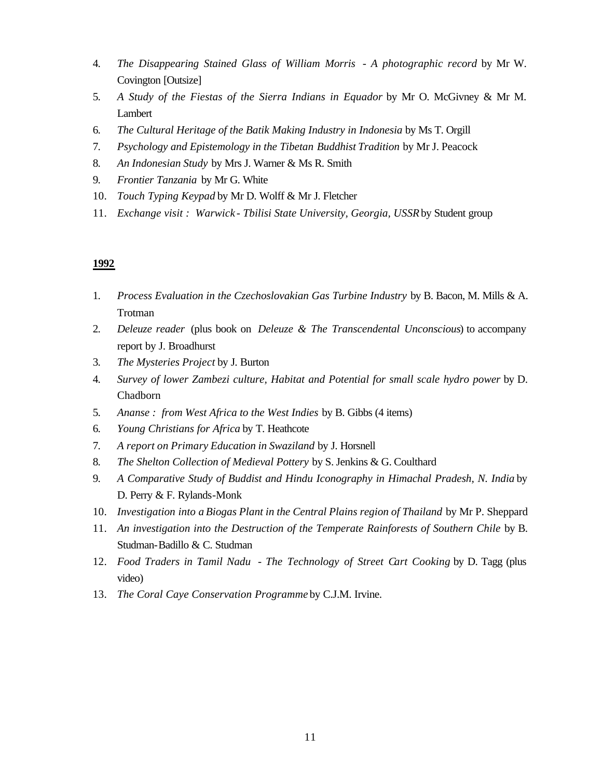- 4. *The Disappearing Stained Glass of William Morris A photographic record* by Mr W. Covington [Outsize]
- 5. *A Study of the Fiestas of the Sierra Indians in Equador* by Mr O. McGivney & Mr M. Lambert
- 6. *The Cultural Heritage of the Batik Making Industry in Indonesia* by Ms T. Orgill
- 7. *Psychology and Epistemology in the Tibetan Buddhist Tradition* by Mr J. Peacock
- 8. *An Indonesian Study* by Mrs J. Warner & Ms R. Smith
- 9. *Frontier Tanzania* by Mr G. White
- 10. *Touch Typing Keypad* by Mr D. Wolff & Mr J. Fletcher
- 11. *Exchange visit : Warwick Tbilisi State University, Georgia, USSR* by Student group

- 1. *Process Evaluation in the Czechoslovakian Gas Turbine Industry* by B. Bacon, M. Mills & A. Trotman
- 2. *Deleuze reader* (plus book on *Deleuze & The Transcendental Unconscious*) to accompany report by J. Broadhurst
- 3. *The Mysteries Project* by J. Burton
- 4. *Survey of lower Zambezi culture, Habitat and Potential for small scale hydro power* by D. Chadborn
- 5. *Ananse : from West Africa to the West Indies* by B. Gibbs (4 items)
- 6. *Young Christians for Africa* by T. Heathcote
- 7. *A report on Primary Education in Swaziland* by J. Horsnell
- 8. *The Shelton Collection of Medieval Pottery* by S. Jenkins & G. Coulthard
- 9. *A Comparative Study of Buddist and Hindu Iconography in Himachal Pradesh, N. India* by D. Perry & F. Rylands-Monk
- 10. *Investigation into a Biogas Plant in the Central Plains region of Thailand* by Mr P. Sheppard
- 11. *An investigation into the Destruction of the Temperate Rainforests of Southern Chile* by B. Studman-Badillo & C. Studman
- 12. *Food Traders in Tamil Nadu The Technology of Street Cart Cooking* by D. Tagg (plus video)
- 13. *The Coral Caye Conservation Programme* by C.J.M. Irvine.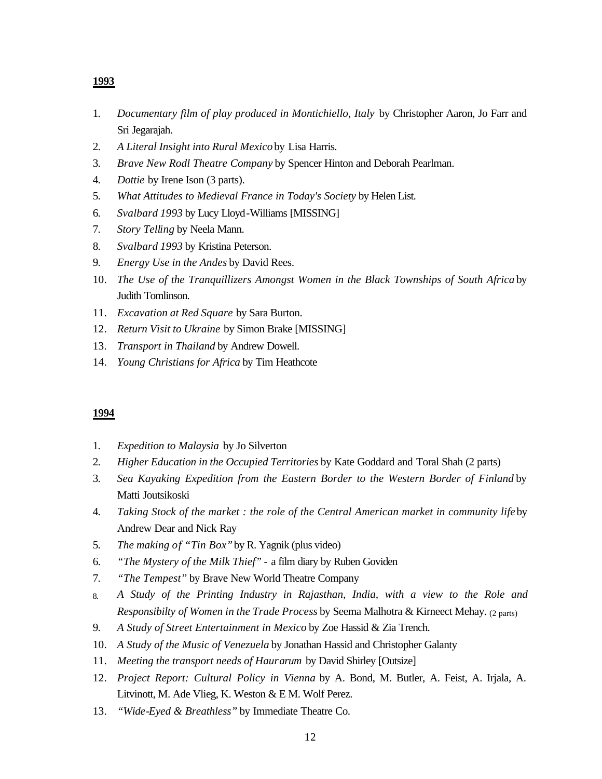- 1. *Documentary film of play produced in Montichiello, Italy* by Christopher Aaron, Jo Farr and Sri Jegarajah.
- 2. *A Literal Insight into Rural Mexico* by Lisa Harris.
- 3. *Brave New Rodl Theatre Company* by Spencer Hinton and Deborah Pearlman.
- 4. *Dottie* by Irene Ison (3 parts).
- 5. *What Attitudes to Medieval France in Today's Society* by Helen List.
- 6. *Svalbard 1993* by Lucy Lloyd-Williams [MISSING]
- 7. *Story Telling* by Neela Mann.
- 8. *Svalbard 1993* by Kristina Peterson.
- 9. *Energy Use in the Andes* by David Rees.
- 10. *The Use of the Tranquillizers Amongst Women in the Black Townships of South Africa* by Judith Tomlinson.
- 11. *Excavation at Red Square* by Sara Burton.
- 12. *Return Visit to Ukraine* by Simon Brake [MISSING]
- 13. *Transport in Thailand* by Andrew Dowell.
- 14. *Young Christians for Africa* by Tim Heathcote

- 1. *Expedition to Malaysia* by Jo Silverton
- 2. *Higher Education in the Occupied Territories* by Kate Goddard and Toral Shah (2 parts)
- 3. *Sea Kayaking Expedition from the Eastern Border to the Western Border of Finland* by Matti Joutsikoski
- 4. *Taking Stock of the market : the role of the Central American market in community life* by Andrew Dear and Nick Ray
- 5. *The making of "Tin Box"* by R. Yagnik (plus video)
- 6. *"The Mystery of the Milk Thief"* a film diary by Ruben Goviden
- 7. *"The Tempest"* by Brave New World Theatre Company
- 8. *A Study of the Printing Industry in Rajasthan, India, with a view to the Role and Responsibilty of Women in the Trade Process* by Seema Malhotra & Kirneect Mehay. (2 parts)
- 9. *A Study of Street Entertainment in Mexico* by Zoe Hassid & Zia Trench.
- 10. *A Study of the Music of Venezuela* by Jonathan Hassid and Christopher Galanty
- 11. *Meeting the transport needs of Haurarum* by David Shirley [Outsize]
- 12. *Project Report: Cultural Policy in Vienna* by A. Bond, M. Butler, A. Feist, A. Irjala, A. Litvinott, M. Ade Vlieg, K. Weston & E M. Wolf Perez.
- 13. *"Wide-Eyed & Breathless"* by Immediate Theatre Co.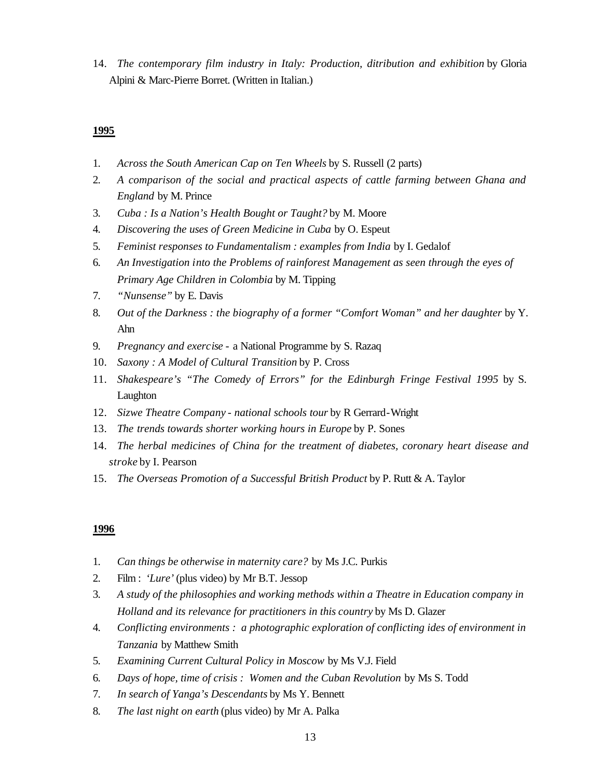14. *The contemporary film industry in Italy: Production, ditribution and exhibition* by Gloria Alpini & Marc-Pierre Borret. (Written in Italian.)

## **1995**

- 1. *Across the South American Cap on Ten Wheels* by S. Russell (2 parts)
- 2. *A comparison of the social and practical aspects of cattle farming between Ghana and England* by M. Prince
- 3. *Cuba : Is a Nation's Health Bought or Taught?* by M. Moore
- 4. *Discovering the uses of Green Medicine in Cuba* by O. Espeut
- 5. *Feminist responses to Fundamentalism : examples from India* by I. Gedalof
- 6. *An Investigation into the Problems of rainforest Management as seen through the eyes of Primary Age Children in Colombia* by M. Tipping
- 7. *"Nunsense"* by E. Davis
- 8. Out of the Darkness : the biography of a former "Comfort Woman" and her daughter by Y. Ahn
- 9. *Pregnancy and exercise* a National Programme by S. Razaq
- 10. *Saxony : A Model of Cultural Transition* by P. Cross
- 11. *Shakespeare's "The Comedy of Errors" for the Edinburgh Fringe Festival 1995* by S. Laughton
- 12. *Sizwe Theatre Company national schools tour* by R Gerrard-Wright
- 13. *The trends towards shorter working hours in Europe* by P. Sones
- 14. *The herbal medicines of China for the treatment of diabetes, coronary heart disease and stroke* by I. Pearson
- 15. *The Overseas Promotion of a Successful British Product* by P. Rutt & A. Taylor

- 1. *Can things be otherwise in maternity care?* by Ms J.C. Purkis
- 2. Film : *'Lure'* (plus video) by Mr B.T. Jessop
- 3. *A study of the philosophies and working methods within a Theatre in Education company in Holland and its relevance for practitioners in this country* by Ms D. Glazer
- 4. *Conflicting environments : a photographic exploration of conflicting ides of environment in Tanzania* by Matthew Smith
- 5. *Examining Current Cultural Policy in Moscow* by Ms V.J. Field
- 6. *Days of hope, time of crisis : Women and the Cuban Revolution* by Ms S. Todd
- 7. *In search of Yanga's Descendants* by Ms Y. Bennett
- 8. *The last night on earth* (plus video) by Mr A. Palka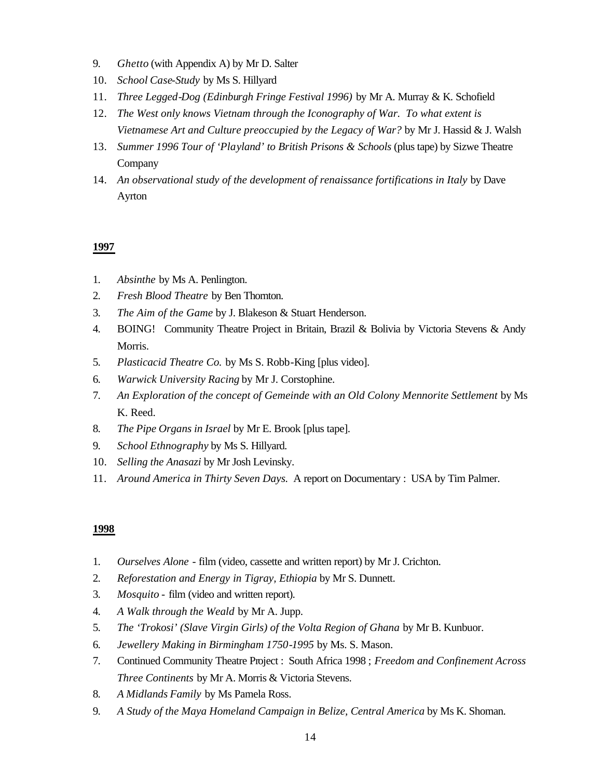- 9. *Ghetto* (with Appendix A) by Mr D. Salter
- 10. *School Case-Study* by Ms S. Hillyard
- 11. *Three Legged-Dog (Edinburgh Fringe Festival 1996)* by Mr A. Murray & K. Schofield
- 12. *The West only knows Vietnam through the Iconography of War. To what extent is Vietnamese Art and Culture preoccupied by the Legacy of War?* by Mr J. Hassid & J. Walsh
- 13. *Summer 1996 Tour of 'Playland' to British Prisons & Schools* (plus tape) by Sizwe Theatre Company
- 14. *An observational study of the development of renaissance fortifications in Italy* by Dave Ayrton

- 1. *Absinthe* by Ms A. Penlington.
- 2. *Fresh Blood Theatre* by Ben Thornton.
- 3. *The Aim of the Game* by J. Blakeson & Stuart Henderson.
- 4. BOING! Community Theatre Project in Britain, Brazil & Bolivia by Victoria Stevens & Andy Morris.
- 5. *Plasticacid Theatre Co.* by Ms S. Robb-King [plus video].
- 6. *Warwick University Racing* by Mr J. Corstophine.
- 7. *An Exploration of the concept of Gemeinde with an Old Colony Mennorite Settlement* by Ms K. Reed.
- 8. *The Pipe Organs in Israel* by Mr E. Brook [plus tape].
- 9. *School Ethnography* by Ms S. Hillyard.
- 10. *Selling the Anasazi* by Mr Josh Levinsky.
- 11. *Around America in Thirty Seven Days.* A report on Documentary : USA by Tim Palmer.

- 1. *Ourselves Alone* film (video, cassette and written report) by Mr J. Crichton.
- 2. *Reforestation and Energy in Tigray, Ethiopia* by Mr S. Dunnett.
- 3. *Mosquito* film (video and written report).
- 4. *A Walk through the Weald* by Mr A. Jupp.
- 5. *The 'Trokosi' (Slave Virgin Girls) of the Volta Region of Ghana* by Mr B. Kunbuor.
- 6. *Jewellery Making in Birmingham 1750-1995* by Ms. S. Mason.
- 7. Continued Community Theatre Project : South Africa 1998 ; *Freedom and Confinement Across Three Continents* by Mr A. Morris & Victoria Stevens.
- 8. *A Midlands Family* by Ms Pamela Ross.
- 9. *A Study of the Maya Homeland Campaign in Belize, Central America* by Ms K. Shoman.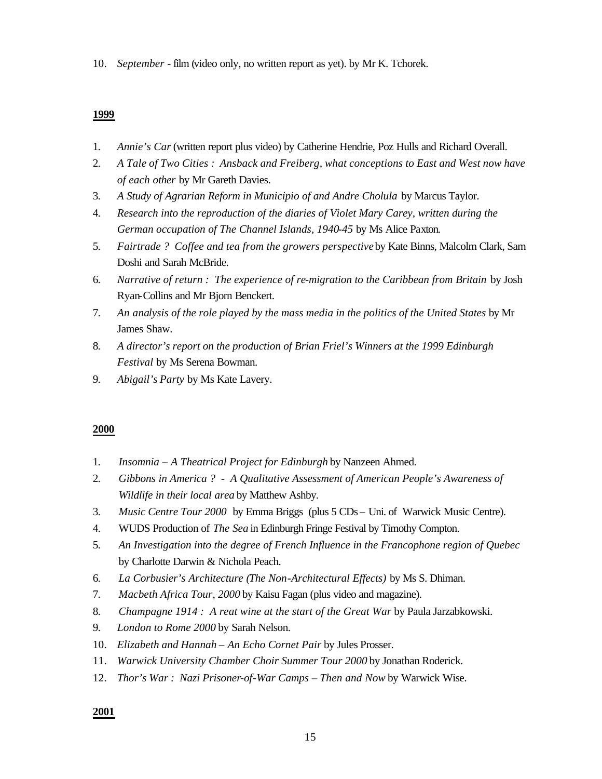10. *September -* film (video only, no written report as yet). by Mr K. Tchorek.

#### **1999**

- 1. *Annie's Car* (written report plus video) by Catherine Hendrie, Poz Hulls and Richard Overall.
- 2. *A Tale of Two Cities : Ansback and Freiberg, what conceptions to East and West now have of each other* by Mr Gareth Davies.
- 3. *A Study of Agrarian Reform in Municipio of and Andre Cholula* by Marcus Taylor.
- 4. *Research into the reproduction of the diaries of Violet Mary Carey, written during the German occupation of The Channel Islands, 1940-45* by Ms Alice Paxton.
- 5. *Fairtrade ? Coffee and tea from the growers perspective* by Kate Binns, Malcolm Clark, Sam Doshi and Sarah McBride.
- 6. *Narrative of return : The experience of re-migration to the Caribbean from Britain* by Josh Ryan-Collins and Mr Bjorn Benckert.
- 7. *An analysis of the role played by the mass media in the politics of the United States* by Mr James Shaw.
- 8. *A director's report on the production of Brian Friel's Winners at the 1999 Edinburgh Festival* by Ms Serena Bowman.
- 9. *Abigail's Party* by Ms Kate Lavery.

## **2000**

- 1. *Insomnia A Theatrical Project for Edinburgh* by Nanzeen Ahmed.
- 2. *Gibbons in America ? A Qualitative Assessment of American People's Awareness of Wildlife in their local area* by Matthew Ashby.
- 3. *Music Centre Tour 2000* by Emma Briggs (plus 5 CDs Uni. of Warwick Music Centre).
- 4. WUDS Production of *The Sea* in Edinburgh Fringe Festival by Timothy Compton.
- 5. *An Investigation into the degree of French Influence in the Francophone region of Quebec*  by Charlotte Darwin & Nichola Peach.
- 6. *La Corbusier's Architecture (The Non-Architectural Effects)* by Ms S. Dhiman.
- 7. *Macbeth Africa Tour, 2000* by Kaisu Fagan (plus video and magazine).
- 8. *Champagne 1914 : A reat wine at the start of the Great War* by Paula Jarzabkowski.
- 9. *London to Rome 2000* by Sarah Nelson.
- 10. *Elizabeth and Hannah An Echo Cornet Pair* by Jules Prosser.
- 11. *Warwick University Chamber Choir Summer Tour 2000* by Jonathan Roderick.
- 12. *Thor's War : Nazi Prisoner-of-War Camps Then and Now* by Warwick Wise.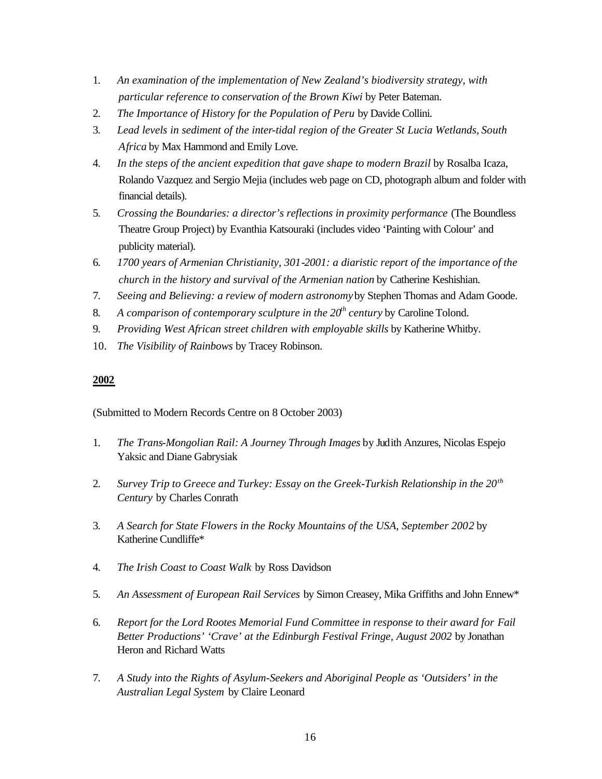- 1. *An examination of the implementation of New Zealand's biodiversity strategy, with particular reference to conservation of the Brown Kiwi* by Peter Bateman.
- 2. *The Importance of History for the Population of Peru* by Davide Collini.
- 3. *Lead levels in sediment of the inter-tidal region of the Greater St Lucia Wetlands, South Africa* by Max Hammond and Emily Love.
- 4. *In the steps of the ancient expedition that gave shape to modern Brazil* by Rosalba Icaza, Rolando Vazquez and Sergio Mejia (includes web page on CD, photograph album and folder with financial details).
- 5. *Crossing the Boundaries: a director's reflections in proximity performance* (The Boundless Theatre Group Project) by Evanthia Katsouraki (includes video 'Painting with Colour' and publicity material).
- 6. *1700 years of Armenian Christianity, 301-2001: a diaristic report of the importance of the church in the history and survival of the Armenian nation* by Catherine Keshishian.
- 7. *Seeing and Believing: a review of modern astronomy* by Stephen Thomas and Adam Goode.
- 8. *A comparison of contemporary sculpture in the 20th century* by Caroline Tolond.
- 9. *Providing West African street children with employable skills* by Katherine Whitby.
- 10. *The Visibility of Rainbows* by Tracey Robinson.

(Submitted to Modern Records Centre on 8 October 2003)

- 1. *The Trans-Mongolian Rail: A Journey Through Images* by Judith Anzures, Nicolas Espejo Yaksic and Diane Gabrysiak
- 2. *Survey Trip to Greece and Turkey: Essay on the Greek-Turkish Relationship in the 20th Century* by Charles Conrath
- 3. *A Search for State Flowers in the Rocky Mountains of the USA, September 2002* by Katherine Cundliffe\*
- 4. *The Irish Coast to Coast Walk* by Ross Davidson
- 5. *An Assessment of European Rail Services* by Simon Creasey, Mika Griffiths and John Ennew\*
- 6. *Report for the Lord Rootes Memorial Fund Committee in response to their award for Fail Better Productions' 'Crave' at the Edinburgh Festival Fringe, August 2002* by Jonathan Heron and Richard Watts
- 7. *A Study into the Rights of Asylum-Seekers and Aboriginal People as 'Outsiders' in the Australian Legal System* by Claire Leonard